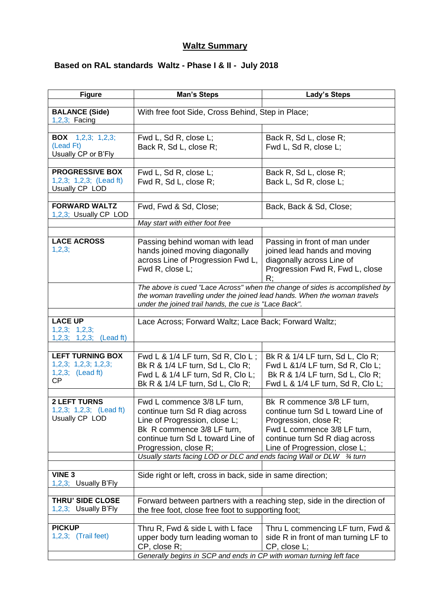## **Waltz Summary**

## **Based on RAL standards Waltz - Phase I & II - July 2018**

| <b>Figure</b>                                                                | <b>Man's Steps</b>                                                                                                                                                                                                                                                 | Lady's Steps                                                                                                                                                                               |
|------------------------------------------------------------------------------|--------------------------------------------------------------------------------------------------------------------------------------------------------------------------------------------------------------------------------------------------------------------|--------------------------------------------------------------------------------------------------------------------------------------------------------------------------------------------|
| <b>BALANCE (Side)</b><br>$1,2,3$ ; Facing                                    | With free foot Side, Cross Behind, Step in Place;                                                                                                                                                                                                                  |                                                                                                                                                                                            |
|                                                                              |                                                                                                                                                                                                                                                                    |                                                                                                                                                                                            |
| <b>BOX</b> $1,2,3; 1,2,3;$<br>(Lead Ft)<br>Usually CP or B'Fly               | Fwd L, Sd R, close L;<br>Back R, Sd L, close R;                                                                                                                                                                                                                    | Back R, Sd L, close R;<br>Fwd L, Sd R, close L;                                                                                                                                            |
|                                                                              |                                                                                                                                                                                                                                                                    |                                                                                                                                                                                            |
| <b>PROGRESSIVE BOX</b><br>1,2,3; 1,2,3; (Lead ft)<br>Usually CP LOD          | Fwd L, Sd R, close L;<br>Fwd R, Sd L, close R;                                                                                                                                                                                                                     | Back R, Sd L, close R;<br>Back L, Sd R, close L;                                                                                                                                           |
| <b>FORWARD WALTZ</b><br>1,2,3; Usually CP LOD                                | Fwd, Fwd & Sd, Close;                                                                                                                                                                                                                                              | Back, Back & Sd, Close;                                                                                                                                                                    |
|                                                                              | May start with either foot free                                                                                                                                                                                                                                    |                                                                                                                                                                                            |
|                                                                              |                                                                                                                                                                                                                                                                    |                                                                                                                                                                                            |
| <b>LACE ACROSS</b><br>1,2,3;                                                 | Passing behind woman with lead<br>hands joined moving diagonally<br>across Line of Progression Fwd L,<br>Fwd R, close L;                                                                                                                                           | Passing in front of man under<br>joined lead hands and moving<br>diagonally across Line of<br>Progression Fwd R, Fwd L, close<br>R:                                                        |
|                                                                              | The above is cued "Lace Across" when the change of sides is accomplished by<br>the woman travelling under the joined lead hands. When the woman travels<br>under the joined trail hands, the cue is "Lace Back".                                                   |                                                                                                                                                                                            |
|                                                                              |                                                                                                                                                                                                                                                                    |                                                                                                                                                                                            |
| <b>LACE UP</b><br>1,2,3; 1,2,3;<br>$1,2,3; 1,2,3;$ (Lead ft)                 | Lace Across; Forward Waltz; Lace Back; Forward Waltz;                                                                                                                                                                                                              |                                                                                                                                                                                            |
|                                                                              |                                                                                                                                                                                                                                                                    |                                                                                                                                                                                            |
| <b>LEFT TURNING BOX</b><br>1,2,3; 1,2,3; 1,2,3;<br>$1,2,3;$ (Lead ft)<br>CP. | Fwd L & 1/4 LF turn, Sd R, Clo L;<br>Bk R & 1/4 LF turn, Sd L, Clo R;<br>Fwd L & 1/4 LF turn, Sd R, Clo L;<br>Bk R & 1/4 LF turn, Sd L, Clo R;                                                                                                                     | Bk R & 1/4 LF turn, Sd L, Clo R;<br>Fwd L &1/4 LF turn, Sd R, Clo L;<br>Bk R & 1/4 LF turn, Sd L, Clo R;<br>Fwd L & 1/4 LF turn, Sd R, Clo L;                                              |
|                                                                              |                                                                                                                                                                                                                                                                    |                                                                                                                                                                                            |
| <b>2 LEFT TURNS</b><br>1,2,3; 1,2,3; (Lead ft)<br>Usually CP LOD             | Fwd L commence 3/8 LF turn,<br>continue turn Sd R diag across<br>Line of Progression, close L;<br>Bk R commence 3/8 LF turn,<br>continue turn Sd L toward Line of<br>Progression, close R;<br>Usually starts facing LOD or DLC and ends facing Wall or DLW 34 turn | Bk R commence 3/8 LF turn,<br>continue turn Sd L toward Line of<br>Progression, close R;<br>Fwd L commence 3/8 LF turn,<br>continue turn Sd R diag across<br>Line of Progression, close L; |
|                                                                              |                                                                                                                                                                                                                                                                    |                                                                                                                                                                                            |
| <b>VINE 3</b><br>1,2,3; Usually B'Fly                                        | Side right or left, cross in back, side in same direction;                                                                                                                                                                                                         |                                                                                                                                                                                            |
| THRU' SIDE CLOSE<br>1,2,3; Usually B'Fly                                     | the free foot, close free foot to supporting foot;                                                                                                                                                                                                                 | Forward between partners with a reaching step, side in the direction of                                                                                                                    |
|                                                                              |                                                                                                                                                                                                                                                                    |                                                                                                                                                                                            |
| <b>PICKUP</b><br>$1,2,3;$ (Trail feet)                                       | Thru R, Fwd & side L with L face<br>upper body turn leading woman to<br>CP, close R;<br>Generally begins in SCP and ends in CP with woman turning left face                                                                                                        | Thru L commencing LF turn, Fwd &<br>side R in front of man turning LF to<br>CP, close L;                                                                                                   |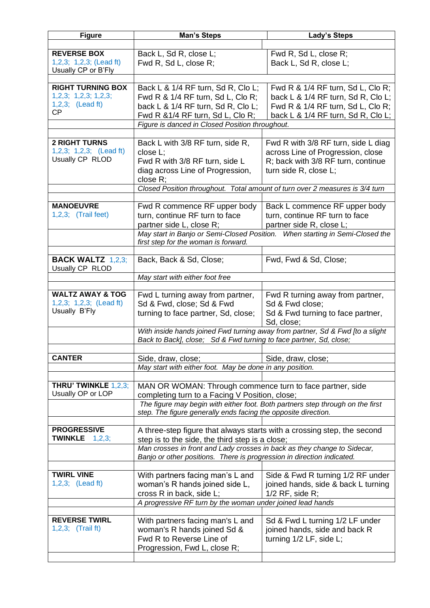| <b>Figure</b>                                    | <b>Man's Steps</b>                                                                                                                               | <b>Lady's Steps</b>                                                           |  |
|--------------------------------------------------|--------------------------------------------------------------------------------------------------------------------------------------------------|-------------------------------------------------------------------------------|--|
|                                                  |                                                                                                                                                  |                                                                               |  |
| <b>REVERSE BOX</b>                               | Back L, Sd R, close L;                                                                                                                           | Fwd R, Sd L, close R;                                                         |  |
| $1,2,3; 1,2,3;$ (Lead ft)<br>Usually CP or B'Fly | Fwd R, Sd L, close R;                                                                                                                            | Back L, Sd R, close L;                                                        |  |
|                                                  |                                                                                                                                                  |                                                                               |  |
| <b>RIGHT TURNING BOX</b>                         | Back L & 1/4 RF turn, Sd R, Clo L;                                                                                                               | Fwd R & 1/4 RF turn, Sd L, Clo R;                                             |  |
| 1,2,3; 1,2,3; 1,2,3;                             | Fwd R & 1/4 RF turn, Sd L, Clo R;                                                                                                                | back L & 1/4 RF turn, Sd R, Clo L;                                            |  |
| $1,2,3;$ (Lead ft)                               | back L & 1/4 RF turn, Sd R, Clo L;                                                                                                               | Fwd R & 1/4 RF turn, Sd L, Clo R;                                             |  |
| СP                                               | Fwd R & 1/4 RF turn, Sd L, Clo R;                                                                                                                | back L & 1/4 RF turn, Sd R, Clo L;                                            |  |
|                                                  | Figure is danced in Closed Position throughout.                                                                                                  |                                                                               |  |
|                                                  |                                                                                                                                                  |                                                                               |  |
| <b>2 RIGHT TURNS</b>                             | Back L with 3/8 RF turn, side R,                                                                                                                 | Fwd R with 3/8 RF turn, side L diag                                           |  |
| $1,2,3; 1,2,3;$ (Lead ft)                        | close L:                                                                                                                                         | across Line of Progression, close                                             |  |
| Usually CP RLOD                                  | Fwd R with 3/8 RF turn, side L                                                                                                                   | R; back with 3/8 RF turn, continue                                            |  |
|                                                  | diag across Line of Progression,                                                                                                                 | turn side R, close L;                                                         |  |
|                                                  | close R;                                                                                                                                         |                                                                               |  |
|                                                  | Closed Position throughout. Total amount of turn over 2 measures is 3/4 turn                                                                     |                                                                               |  |
| <b>MANOEUVRE</b>                                 | Fwd R commence RF upper body                                                                                                                     | Back L commence RF upper body                                                 |  |
| $1,2,3;$ (Trail feet)                            | turn, continue RF turn to face                                                                                                                   | turn, continue RF turn to face                                                |  |
|                                                  | partner side L, close R;                                                                                                                         | partner side R, close L;                                                      |  |
|                                                  |                                                                                                                                                  | May start in Banjo or Semi-Closed Position. When starting in Semi-Closed the  |  |
|                                                  | first step for the woman is forward.                                                                                                             |                                                                               |  |
|                                                  |                                                                                                                                                  |                                                                               |  |
| <b>BACK WALTZ 1,2,3;</b>                         | Back, Back & Sd, Close;                                                                                                                          | Fwd, Fwd & Sd, Close;                                                         |  |
| Usually CP RLOD                                  |                                                                                                                                                  |                                                                               |  |
|                                                  | May start with either foot free                                                                                                                  |                                                                               |  |
| <b>WALTZ AWAY &amp; TOG</b>                      |                                                                                                                                                  |                                                                               |  |
| $1,2,3; 1,2,3;$ (Lead ft)                        | Fwd L turning away from partner,<br>Sd & Fwd, close; Sd & Fwd                                                                                    | Fwd R turning away from partner,<br>Sd & Fwd close;                           |  |
| Usually B'Fly                                    | turning to face partner, Sd, close;                                                                                                              | Sd & Fwd turning to face partner,                                             |  |
|                                                  |                                                                                                                                                  | Sd, close;                                                                    |  |
|                                                  |                                                                                                                                                  | With inside hands joined Fwd turning away from partner, Sd & Fwd [to a slight |  |
|                                                  | Back to Back], close; Sd & Fwd turning to face partner, Sd, close;                                                                               |                                                                               |  |
|                                                  |                                                                                                                                                  |                                                                               |  |
| <b>CANTER</b>                                    | Side, draw, close;                                                                                                                               | Side, draw, close;                                                            |  |
|                                                  | May start with either foot. May be done in any position.                                                                                         |                                                                               |  |
|                                                  |                                                                                                                                                  |                                                                               |  |
| THRU' TWINKLE 1,2,3;<br>Usually OP or LOP        | MAN OR WOMAN: Through commence turn to face partner, side                                                                                        |                                                                               |  |
|                                                  | completing turn to a Facing V Position, close;                                                                                                   |                                                                               |  |
|                                                  | The figure may begin with either foot. Both partners step through on the first<br>step. The figure generally ends facing the opposite direction. |                                                                               |  |
|                                                  |                                                                                                                                                  |                                                                               |  |
| <b>PROGRESSIVE</b>                               | A three-step figure that always starts with a crossing step, the second                                                                          |                                                                               |  |
| <b>TWINKLE</b><br>1,2,3;                         | step is to the side, the third step is a close;                                                                                                  |                                                                               |  |
|                                                  | Man crosses in front and Lady crosses in back as they change to Sidecar,                                                                         |                                                                               |  |
|                                                  | Banjo or other positions. There is progression in direction indicated.                                                                           |                                                                               |  |
| <b>TWIRL VINE</b>                                |                                                                                                                                                  |                                                                               |  |
| $1,2,3$ ; (Lead ft)                              | With partners facing man's L and                                                                                                                 | Side & Fwd R turning 1/2 RF under                                             |  |
|                                                  | woman's R hands joined side L,                                                                                                                   | joined hands, side & back L turning                                           |  |
|                                                  | cross R in back, side L;<br>A progressive RF turn by the woman under joined lead hands                                                           | $1/2$ RF, side R;                                                             |  |
|                                                  |                                                                                                                                                  |                                                                               |  |
| <b>REVERSE TWIRL</b>                             | With partners facing man's L and                                                                                                                 | Sd & Fwd L turning 1/2 LF under                                               |  |
| $1,2,3;$ (Trail ft)                              | woman's R hands joined Sd &                                                                                                                      | joined hands, side and back R                                                 |  |
|                                                  | Fwd R to Reverse Line of                                                                                                                         | turning 1/2 LF, side L;                                                       |  |
|                                                  | Progression, Fwd L, close R;                                                                                                                     |                                                                               |  |
|                                                  |                                                                                                                                                  |                                                                               |  |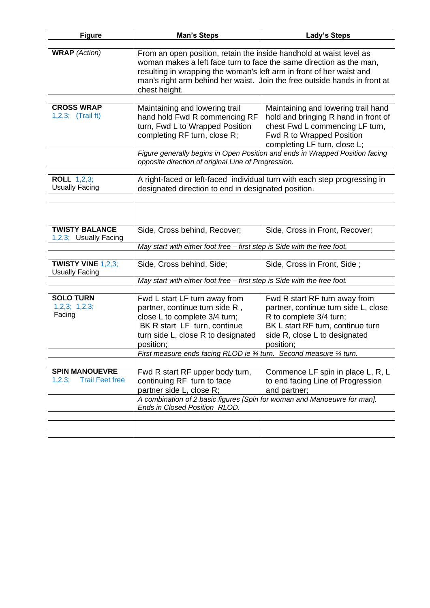| <b>Figure</b>                            | <b>Man's Steps</b>                                                                                                                         | <b>Lady's Steps</b>                                                         |  |
|------------------------------------------|--------------------------------------------------------------------------------------------------------------------------------------------|-----------------------------------------------------------------------------|--|
|                                          |                                                                                                                                            |                                                                             |  |
| <b>WRAP</b> (Action)                     | From an open position, retain the inside handhold at waist level as<br>woman makes a left face turn to face the same direction as the man, |                                                                             |  |
|                                          | resulting in wrapping the woman's left arm in front of her waist and                                                                       |                                                                             |  |
|                                          | man's right arm behind her waist. Join the free outside hands in front at                                                                  |                                                                             |  |
|                                          | chest height.                                                                                                                              |                                                                             |  |
|                                          |                                                                                                                                            |                                                                             |  |
| <b>CROSS WRAP</b><br>$1,2,3;$ (Trail ft) | Maintaining and lowering trail<br>hand hold Fwd R commencing RF                                                                            | Maintaining and lowering trail hand<br>hold and bringing R hand in front of |  |
|                                          | turn, Fwd L to Wrapped Position                                                                                                            | chest Fwd L commencing LF turn,                                             |  |
|                                          | completing RF turn, close R;                                                                                                               | Fwd R to Wrapped Position                                                   |  |
|                                          |                                                                                                                                            | completing LF turn, close L;                                                |  |
|                                          | Figure generally begins in Open Position and ends in Wrapped Position facing                                                               |                                                                             |  |
|                                          | opposite direction of original Line of Progression.                                                                                        |                                                                             |  |
| <b>ROLL 1,2,3;</b>                       | A right-faced or left-faced individual turn with each step progressing in                                                                  |                                                                             |  |
| <b>Usually Facing</b>                    | designated direction to end in designated position.                                                                                        |                                                                             |  |
|                                          |                                                                                                                                            |                                                                             |  |
|                                          |                                                                                                                                            |                                                                             |  |
|                                          |                                                                                                                                            |                                                                             |  |
| <b>TWISTY BALANCE</b>                    | Side, Cross behind, Recover;                                                                                                               | Side, Cross in Front, Recover;                                              |  |
| 1,2,3; Usually Facing                    | May start with either foot free - first step is Side with the free foot.                                                                   |                                                                             |  |
|                                          |                                                                                                                                            |                                                                             |  |
| TWISTY VINE $1,2,3$ ;                    | Side, Cross behind, Side;                                                                                                                  | Side, Cross in Front, Side;                                                 |  |
| <b>Usually Facing</b>                    |                                                                                                                                            |                                                                             |  |
|                                          | May start with either foot free - first step is Side with the free foot.                                                                   |                                                                             |  |
| <b>SOLO TURN</b>                         | Fwd L start LF turn away from                                                                                                              | Fwd R start RF turn away from                                               |  |
| 1,2,3; 1,2,3;                            | partner, continue turn side R,                                                                                                             | partner, continue turn side L, close                                        |  |
| Facing                                   | close L to complete 3/4 turn;                                                                                                              | R to complete 3/4 turn;                                                     |  |
|                                          | BK R start LF turn, continue<br>turn side L, close R to designated                                                                         | BK L start RF turn, continue turn<br>side R, close L to designated          |  |
|                                          | position;                                                                                                                                  | position;                                                                   |  |
|                                          | First measure ends facing RLOD ie 3/4 turn. Second measure 1/4 turn.                                                                       |                                                                             |  |
|                                          |                                                                                                                                            |                                                                             |  |
| <b>SPIN MANOUEVRE</b>                    | Fwd R start RF upper body turn,                                                                                                            | Commence LF spin in place L, R, L                                           |  |
| <b>Trail Feet free</b><br>1,2,3;         | continuing RF turn to face                                                                                                                 | to end facing Line of Progression                                           |  |
|                                          | partner side L, close R;<br>and partner;<br>A combination of 2 basic figures [Spin for woman and Manoeuvre for man].                       |                                                                             |  |
|                                          | Ends in Closed Position RLOD.                                                                                                              |                                                                             |  |
|                                          |                                                                                                                                            |                                                                             |  |
|                                          |                                                                                                                                            |                                                                             |  |
|                                          |                                                                                                                                            |                                                                             |  |